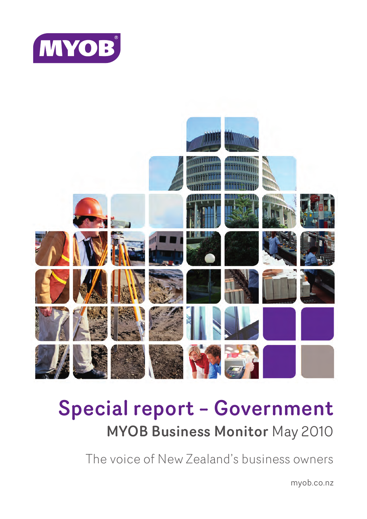



# Special report – Government MYOB Business Monitor May 2010

The voice of New Zealand's business owners

myob.co.nz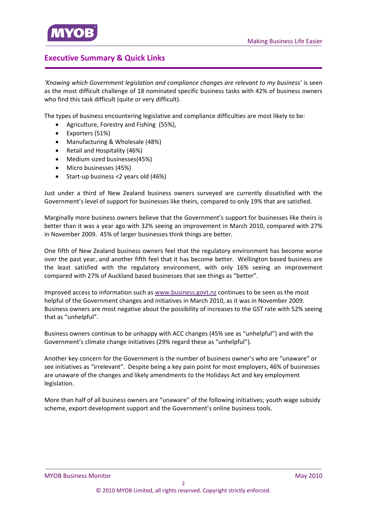# <span id="page-1-0"></span>**Executive Summary & Quick Links**

*'Knowing which Government legislation and compliance changes are relevant to my business'* is seen as the most difficult challenge of 18 nominated specific business tasks with 42% of business owners who find this task difficult (quite or very difficult).

The types of business encountering legislative and compliance difficulties are most likely to be:

- Agriculture, Forestry and Fishing (55%),
- Exporters (51%)
- Manufacturing & Wholesale (48%)
- Retail and Hospitality (46%)
- Medium sized businesses(45%)
- Micro businesses (45%)
- Start-up business <2 years old (46%)

Just under a third of New Zealand business owners surveyed are currently dissatisfied with the [Government's](#page-5-0) level of support for businesses like theirs, compared to only 19% that are satisfied.

Marginally more business owners believe that the [Government's](#page-8-0) support for businesses like theirs is better than it was a year ago with 32% seeing an improvement in March 2010, compared with 27% in November 2009. 45% of larger businesses think things are better.

One fifth of New Zealand business owners feel that the regulatory environment has become worse over the past year, and another fifth feel that it has become better. Wellington based business are the least satisfied with the regulatory environment, with only 16% seeing an [improvement](#page-11-0) compared with 27% of Auckland based businesses that see things as "better".

Improved access to information such as [www.business.govt.nz](#page-14-0) continues to be seen as the most helpful of the Government changes and initiatives in March 2010, as it was in November 2009. Business owners are most negative about the possibility of increases to the GST rate with 52% seeing that as "unhelpful".

Business owners continue to be unhappy with ACC changes (45% see as "unhelpful") and with the Government's climate change initiatives (29% regard these as "unhelpful").

Another key concern for the Government is the number of business owner's who are "unaware" or see initiatives as "irrelevant". Despite being a key pain point for most employers, 46% of businesses are unaware of the changes and likely amendments to the Holidays Act and key employment legislation.

More than half of all business owners are "unaware" of the following initiatives; youth wage subsidy scheme, export development support and the Government's online business tools.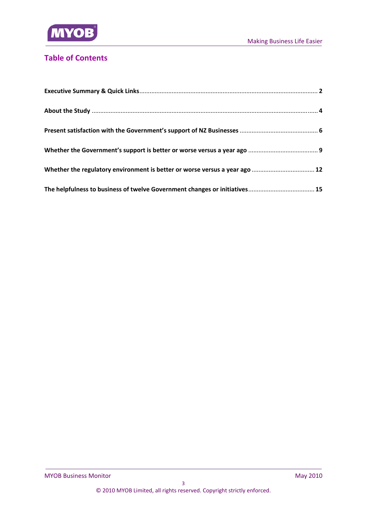

# **Table of Contents**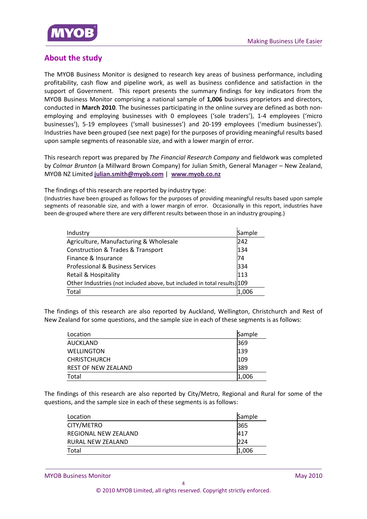<span id="page-3-0"></span>

# **About the study**

The MYOB Business Monitor is designed to research key areas of business performance, including profitability, cash flow and pipeline work, as well as business confidence and satisfaction in the support of Government. This report presents the summary findings for key indicators from the MYOB Business Monitor comprising a national sample of **1,006** business proprietors and directors, conducted in **March 2010**. The businesses participating in the online survey are defined as both non‐ employing and employing businesses with 0 employees ('sole traders'), 1‐4 employees ('micro businesses'), 5‐19 employees ('small businesses') and 20‐199 employees ('medium businesses'). Industries have been grouped (see next page) for the purposes of providing meaningful results based upon sample segments of reasonable size, and with a lower margin of error.

This research report was prepared by *The Financial Research Company* and fieldwork was completed by *Colmar Brunton* (a Millward Brown Company) for Julian Smith, General Manager – New Zealand, MYOB NZ Limited **julian.smith@myob.com** | **www.myob.co.nz**

The findings of this research are reported by industry type:

(Industries have been grouped as follows for the purposes of providing meaningful results based upon sample segments of reasonable size, and with a lower margin of error. Occasionally in this report, industries have been de-grouped where there are very different results between those in an industry grouping.)

| Industry                                                                 | Sample |
|--------------------------------------------------------------------------|--------|
| Agriculture, Manufacturing & Wholesale                                   | 242    |
| <b>Construction &amp; Trades &amp; Transport</b>                         | 134    |
| Finance & Insurance                                                      | 74     |
| <b>Professional &amp; Business Services</b>                              | 334    |
| Retail & Hospitality                                                     | 113    |
| Other Industries (not included above, but included in total results) 109 |        |
| Total                                                                    | .006   |

The findings of this research are also reported by Auckland, Wellington, Christchurch and Rest of New Zealand for some questions, and the sample size in each of these segments is as follows:

| Location                   | Sample |
|----------------------------|--------|
| AUCKLAND                   | 369    |
| <b>WELLINGTON</b>          | 139    |
| <b>CHRISTCHURCH</b>        | 109    |
| <b>REST OF NEW ZEALAND</b> | 389    |
| Total                      | 1,006  |

The findings of this research are also reported by City/Metro, Regional and Rural for some of the questions, and the sample size in each of these segments is as follows:

| Location             | Sample |
|----------------------|--------|
| CITY/METRO           | 365    |
| REGIONAL NEW ZEALAND | 417    |
| RURAL NEW ZEALAND    | 224    |
| Total                | 1,006  |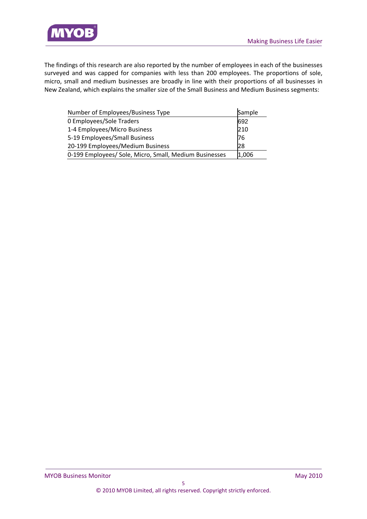

The findings of this research are also reported by the number of employees in each of the businesses surveyed and was capped for companies with less than 200 employees. The proportions of sole, micro, small and medium businesses are broadly in line with their proportions of all businesses in New Zealand, which explains the smaller size of the Small Business and Medium Business segments:

| Number of Employees/Business Type                      | Sample |
|--------------------------------------------------------|--------|
| 0 Employees/Sole Traders                               | 692    |
| 1-4 Employees/Micro Business                           | 210    |
| 5-19 Employees/Small Business                          | 76     |
| 20-199 Employees/Medium Business                       | 28     |
| 0-199 Employees/ Sole, Micro, Small, Medium Businesses | 1,006  |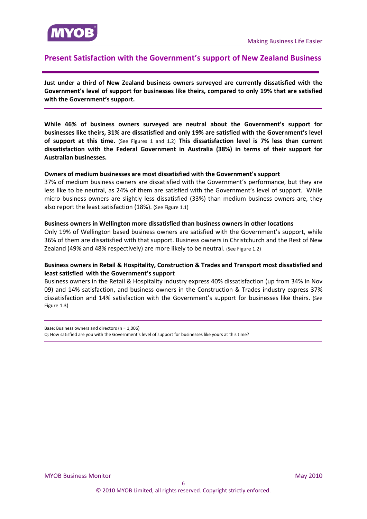<span id="page-5-0"></span>

# **Present Satisfaction with the Government's support of New Zealand Business**

**Just under a third of New Zealand business owners surveyed are currently dissatisfied with the Government's level of support for businesses like theirs, compared to only 19% that are satisfied with the Government's support.**

**While 46% of business owners surveyed are neutral about the Government's support for businesses like theirs, 31% are dissatisfied and only 19% are satisfied with the Government's level of support at this time.** (See Figures 1 and 1.2) **This dissatisfaction level is 7% less than current dissatisfaction with the Federal Government in Australia (38%) in terms of their support for Australian businesses.**

#### **Owners of medium businesses are most dissatisfied with the Government's support**

37% of medium business owners are dissatisfied with the Government's performance, but they are less like to be neutral, as 24% of them are satisfied with the Government's level of support. While micro business owners are slightly less dissatisfied (33%) than medium business owners are, they also report the least satisfaction (18%). (See Figure 1.1)

#### **Business owners in Wellington more dissatisfied than business owners in other locations**

Only 19% of Wellington based business owners are satisfied with the Government's support, while 36% of them are dissatisfied with that support. Business owners in Christchurch and the Rest of New Zealand (49% and 48% respectively) are more likely to be neutral. (See Figure 1.2)

# **Business owners in Retail & Hospitality, Construction & Trades and Transport most dissatisfied and least satisfied with the Government's support**

Business owners in the Retail & Hospitality industry express 40% dissatisfaction (up from 34% in Nov 09) and 14% satisfaction, and business owners in the Construction & Trades industry express 37% dissatisfaction and 14% satisfaction with the Government's support for businesses like theirs. (See Figure 1.3)

Base: Business owners and directors (n = 1,006) Q: How satisfied are you with the Government's level of support for businesses like yours at this time?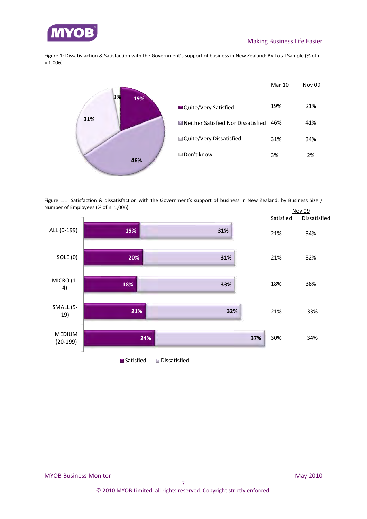

Figure 1: Dissatisfaction & Satisfaction with the Government's support of business in New Zealand: By Total Sample (% of n = 1,006)



Figure 1.1: Satisfaction & dissatisfaction with the Government's support of business in New Zealand: by Business Size / Number of Employees (% of n=1,006)

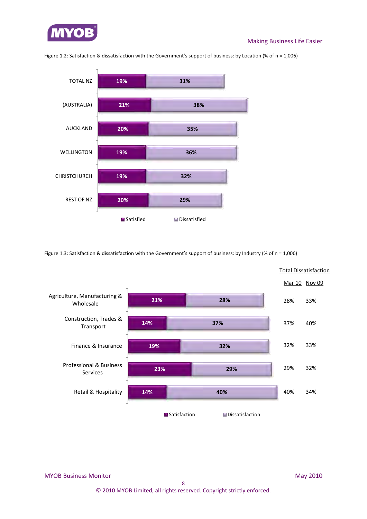



Figure 1.2: Satisfaction & dissatisfaction with the Government's support of business: by Location (% of n = 1,006)

Figure 1.3: Satisfaction & dissatisfaction with the Government's support of business: by Industry (% of n = 1,006)

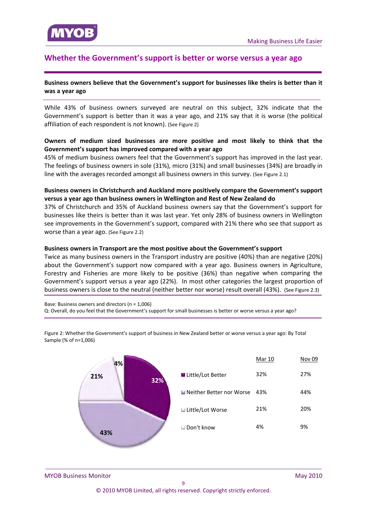<span id="page-8-0"></span>

# **Whether the Government's support is better or worse versus a year ago**

#### **Business owners believe that the Government's support for businesses like theirs is better than it was a year ago**

While 43% of business owners surveyed are neutral on this subject, 32% indicate that the Government's support is better than it was a year ago, and 21% say that it is worse (the political affiliation of each respondent is not known). (See Figure 2)

## **Owners of medium sized businesses are more positive and most likely to think that the Government's support has improved compared with a year ago**

45% of medium business owners feel that the Government's support has improved in the last year. The feelings of business owners in sole (31%), micro (31%) and small businesses (34%) are broadly in line with the averages recorded amongst all business owners in this survey. (See Figure 2.1)

#### **Business owners in Christchurch and Auckland more positively compare the Government's support versus a year ago than business owners in Wellington and Rest of New Zealand do**

37% of Christchurch and 35% of Auckland business owners say that the Government's support for businesses like theirs is better than it was last year. Yet only 28% of business owners in Wellington see improvements in the Government's support, compared with 21% there who see that support as worse than a year ago. (See Figure 2.2)

#### **Business owners in Transport are the most positive about the Government's support**

Twice as many business owners in the Transport industry are positive (40%) than are negative (20%) about the Government's support now compared with a year ago. Business owners in Agriculture, Forestry and Fisheries are more likely to be positive (36%) than negative when comparing the Government's support versus a year ago (22%). In most other categories the largest proportion of business owners is close to the neutral (neither better nor worse) result overall (43%). (See Figure 2.3)

Base: Business owners and directors (n = 1,006) Q: Overall, do you feel that the Government's support for small businesses is better or worse versus a year ago?



Figure 2: Whether the Government's support of business in New Zealand better or worse versus a year ago: By Total Sample (% of n=1,006)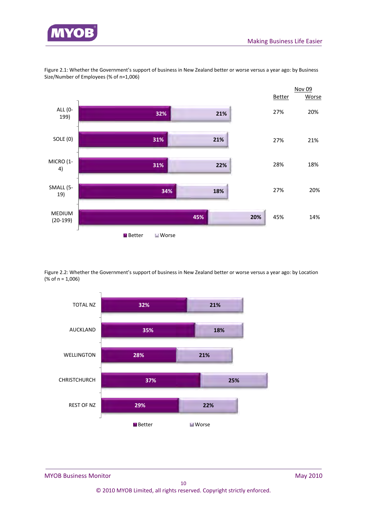



Figure 2.1: Whether the Government's support of business in New Zealand better or worse versus a year ago: by Business Size/Number of Employees (% of n=1,006)

Figure 2.2: Whether the Government's support of business in New Zealand better or worse versus a year ago: by Location (% of n = 1,006)

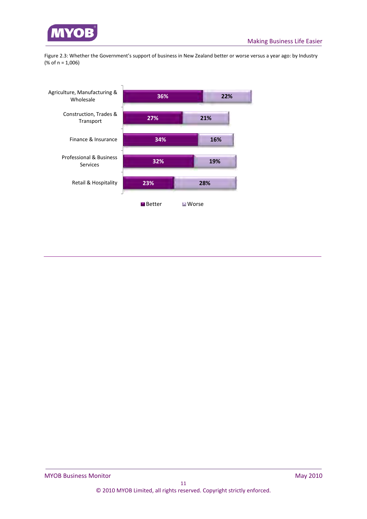

Figure 2.3: Whether the Government's support of business in New Zealand better or worse versus a year ago: by Industry (% of n = 1,006)

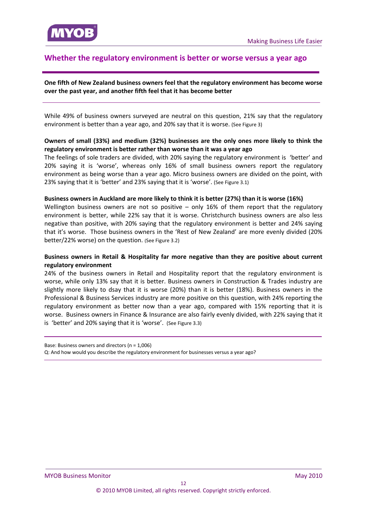# <span id="page-11-0"></span>**Whether the regulatory environment is better or worse versus a year ago**

## **One fifth of New Zealand business owners feel that the regulatory environment has become worse over the past year, and another fifth feel that it has become better**

While 49% of business owners surveyed are neutral on this question, 21% say that the regulatory environment is better than a year ago, and 20% say that it is worse. (See Figure 3)

#### **Owners of small (33%) and medium (32%) businesses are the only ones more likely to think the regulatory environment is better rather than worse than it was a year ago**

The feelings of sole traders are divided, with 20% saying the regulatory environment is 'better' and 20% saying it is 'worse', whereas only 16% of small business owners report the regulatory environment as being worse than a year ago. Micro business owners are divided on the point, with 23% saying that it is 'better' and 23% saying that it is 'worse'. (See Figure 3.1)

#### **Business owners in Auckland are more likely to think it is better (27%) than it is worse (16%)**

Wellington business owners are not so positive  $-$  only 16% of them report that the regulatory environment is better, while 22% say that it is worse. Christchurch business owners are also less negative than positive, with 20% saying that the regulatory environment is better and 24% saying that it's worse. Those business owners in the 'Rest of New Zealand' are more evenly divided (20% better/22% worse) on the question. (See Figure 3.2)

#### **Business owners in Retail & Hospitality far more negative than they are positive about current regulatory environment**

24% of the business owners in Retail and Hospitality report that the regulatory environment is worse, while only 13% say that it is better. Business owners in Construction & Trades industry are slightly more likely to dsay that it is worse (20%) than it is better (18%). Business owners in the Professional & Business Services industry are more positive on this question, with 24% reporting the regulatory environment as better now than a year ago, compared with 15% reporting that it is worse. Business owners in Finance & Insurance are also fairly evenly divided, with 22% saying that it is 'better' and 20% saying that it is 'worse'. (See Figure 3.3)

Base: Business owners and directors (n = 1,006) Q: And how would you describe the regulatory environment for businesses versus a year ago?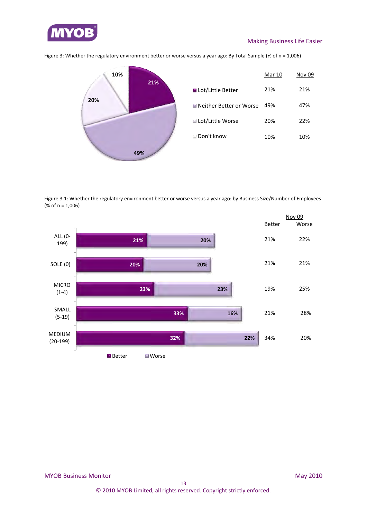

**21% 49% 20% 10%** ■ Lot/Little Better ■Neither Better or Worse Lot/Little Worse Don't know Mar 10 Nov 09 21% 21% 49% 47% 20% 22% 10% 10%

Figure 3: Whether the regulatory environment better or worse versus a year ago: By Total Sample (% of n = 1,006)

Figure 3.1: Whether the regulatory environment better or worse versus a year ago: by Business Size/Number of Employees (% of n = 1,006)

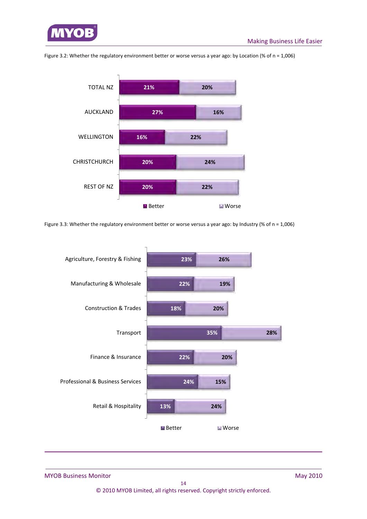





Figure 3.3: Whether the regulatory environment better or worse versus a year ago: by Industry (% of n = 1,006)

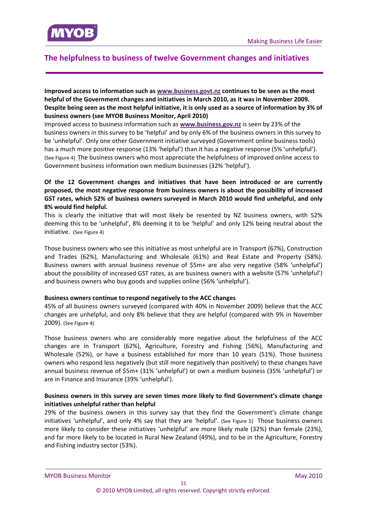<span id="page-14-0"></span>

# **The helpfulness to business of twelve Government changes and initiatives**

## **Improved access to information such as www.business.govt.nz continues to be seen as the most helpful of the Government changes and initiatives in March 2010, as it was in November 2009.**  Despite being seen as the most helpful initiative, it is only used as a source of information by 3% of **business owners (see MYOB Business Monitor, April 2010)**

Improved access to business information such as **www.business.gov.nz** is seen by 23% of the business owners in this survey to be 'helpful' and by only 6% of the business owners in this survey to be 'unhelpful'. Only one other Government initiative surveyed (Government online business tools) has a much more positive response (13% 'helpful') than it has a negative response (5% 'unhelpful'). (See Figure 4) The business owners who most appreciate the helpfulness of improved online access to Government business information own medium businesses (32% 'helpful').

# **Of the 12 Government changes and initiatives that have been introduced or are currently proposed, the most negative response from business owners is about the possibility of increased GST rates, which 52% of business owners surveyed in March 2010 would find unhelpful, and only 8% would find helpful.**

This is clearly the initiative that will most likely be resented by NZ business owners, with 52% deeming this to be 'unhelpful', 8% deeming it to be 'helpful' and only 12% being neutral about the initiative. (See Figure 4)

Those business owners who see this initiative as most unhelpful are in Transport (67%), Construction and Trades (62%), Manufacturing and Wholesale (61%) and Real Estate and Property (58%). Business owners with annual business revenue of \$5m+ are also very negative (58% 'unhelpful') about the possibility of increased GST rates, as are business owners with a website (57% 'unhelpful') and business owners who buy goods and supplies online (56% 'unhelpful').

#### **Business owners continue to respond negatively to the ACC changes**

45% of all business owners surveyed (compared with 40% in November 2009) believe that the ACC changes are unhelpful, and only 8% believe that they are helpful (compared with 9% in November 2009). (See Figure 4)

Those business owners who are considerably more negative about the helpfulness of the ACC changes are in Transport (62%), Agriculture, Forestry and Fishing (56%), Manufacturing and Wholesale (52%), or have a business established for more than 10 years (51%). Those business owners who respond less negatively (but still more negatively than positively) to these changes have annual business revenue of \$5m+ (31% 'unhelpful') or own a medium business (35% 'unhelpful') or are in Finance and Insurance (39% 'unhelpful').

# **Business owners in this survey are seven times more likely to find Government's climate change initiatives unhelpful rather than helpful**

29% of the business owners in this survey say that they find the Government's climate change initiatives 'unhelpful', and only 4% say that they are 'helpful'. (See Figure 5) Those business owners more likely to consider these initiatives 'unhelpful' are more likely male (32%) than female (23%), and far more likely to be located in Rural New Zealand (49%), and to be in the Agriculture, Forestry and Fishing industry sector (53%).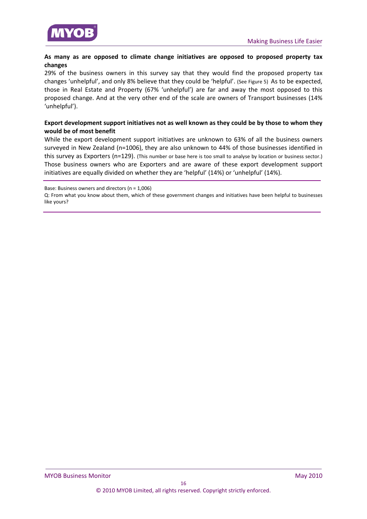

## **As many as are opposed to climate change initiatives are opposed to proposed property tax changes**

29% of the business owners in this survey say that they would find the proposed property tax changes 'unhelpful', and only 8% believe that they could be 'helpful'. (See Figure 5) As to be expected, those in Real Estate and Property (67% 'unhelpful') are far and away the most opposed to this proposed change. And at the very other end of the scale are owners of Transport businesses (14% 'unhelpful').

## **Export development support initiatives not as well known as they could be by those to whom they would be of most benefit**

While the export development support initiatives are unknown to 63% of all the business owners surveyed in New Zealand (n=1006), they are also unknown to 44% of those businesses identified in this survey as Exporters (n=129). (This number or base here is too small to analyse by location or business sector.) Those business owners who are Exporters and are aware of these export development support initiatives are equally divided on whether they are 'helpful' (14%) or 'unhelpful' (14%).

Base: Business owners and directors (n = 1,006)

Q: From what you know about them, which of these government changes and initiatives have been helpful to businesses like yours?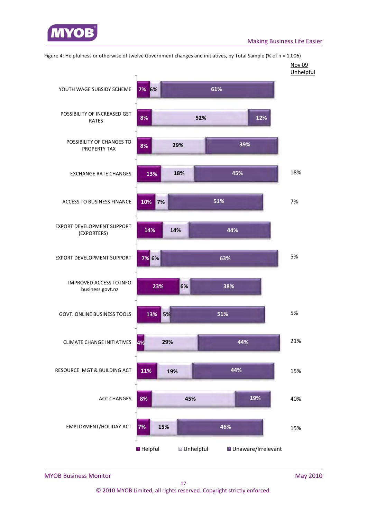



Figure 4: Helpfulness or otherwise of twelve Government changes and initiatives, by Total Sample (% of n = 1,006)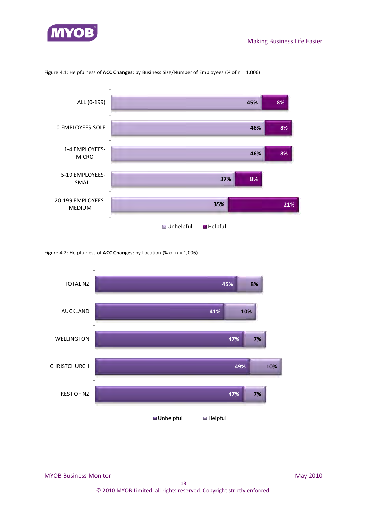



Figure 4.1: Helpfulness of **ACC Changes**: by Business Size/Number of Employees (% of n = 1,006)

Figure 4.2: Helpfulness of **ACC Changes**: by Location (% of n = 1,006)

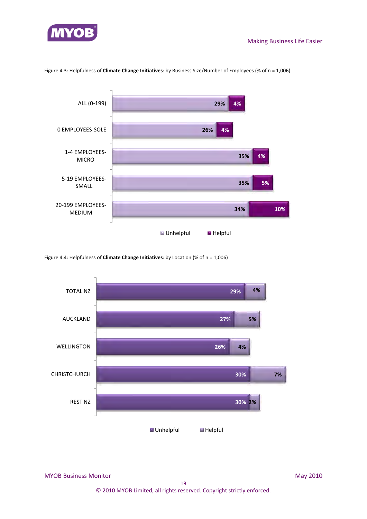

#### Figure 4.3: Helpfulness of **Climate Change Initiatives**: by Business Size/Number of Employees (% of n = 1,006)



Figure 4.4: Helpfulness of **Climate Change Initiatives**: by Location (% of n = 1,006)